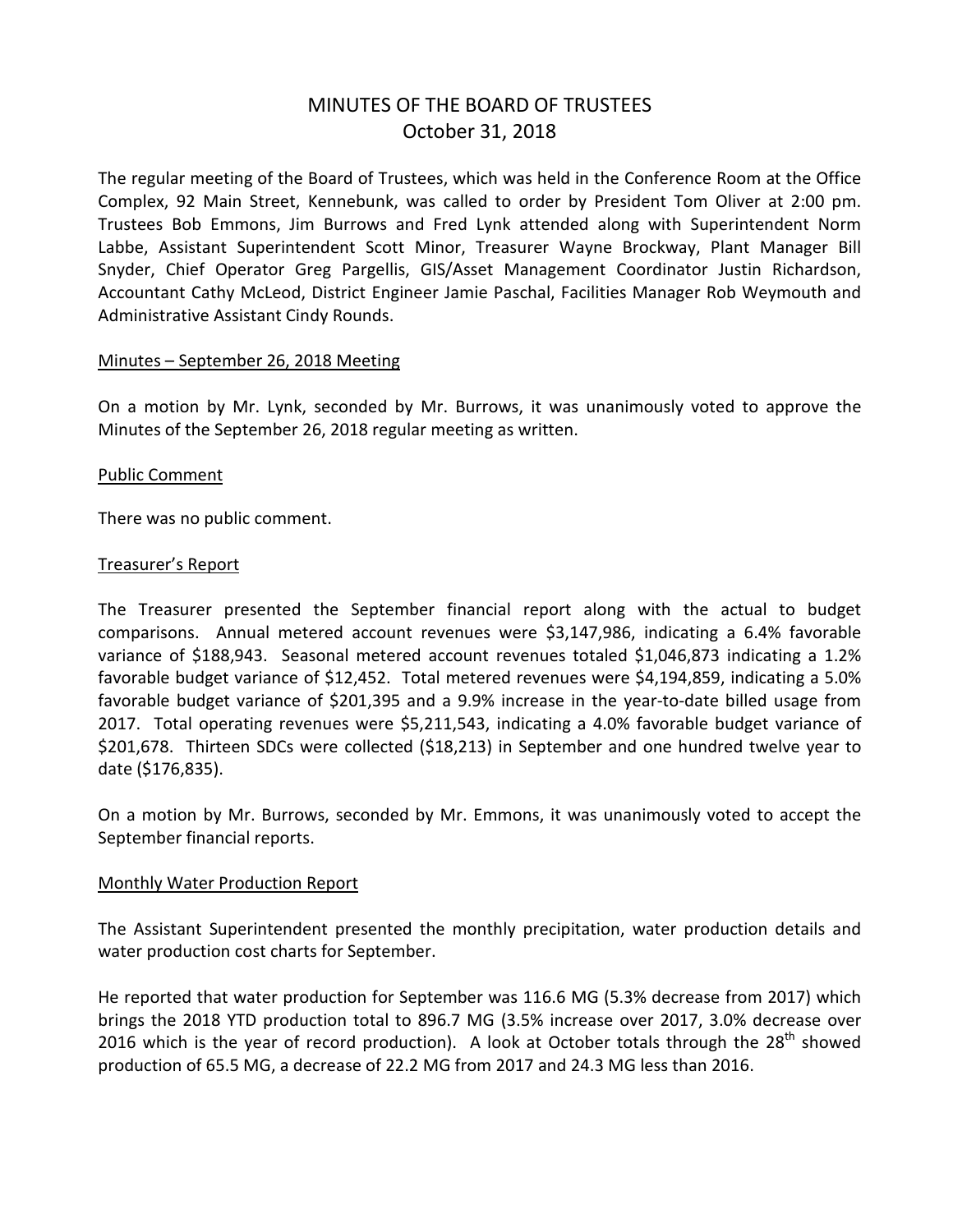# MINUTES OF THE BOARD OF TRUSTEES October 31, 2018

The regular meeting of the Board of Trustees, which was held in the Conference Room at the Office Complex, 92 Main Street, Kennebunk, was called to order by President Tom Oliver at 2:00 pm. Trustees Bob Emmons, Jim Burrows and Fred Lynk attended along with Superintendent Norm Labbe, Assistant Superintendent Scott Minor, Treasurer Wayne Brockway, Plant Manager Bill Snyder, Chief Operator Greg Pargellis, GIS/Asset Management Coordinator Justin Richardson, Accountant Cathy McLeod, District Engineer Jamie Paschal, Facilities Manager Rob Weymouth and Administrative Assistant Cindy Rounds.

#### Minutes – September 26, 2018 Meeting

On a motion by Mr. Lynk, seconded by Mr. Burrows, it was unanimously voted to approve the Minutes of the September 26, 2018 regular meeting as written.

#### Public Comment

There was no public comment.

#### Treasurer's Report

The Treasurer presented the September financial report along with the actual to budget comparisons. Annual metered account revenues were \$3,147,986, indicating a 6.4% favorable variance of \$188,943. Seasonal metered account revenues totaled \$1,046,873 indicating a 1.2% favorable budget variance of \$12,452. Total metered revenues were \$4,194,859, indicating a 5.0% favorable budget variance of \$201,395 and a 9.9% increase in the year-to-date billed usage from 2017. Total operating revenues were \$5,211,543, indicating a 4.0% favorable budget variance of \$201,678. Thirteen SDCs were collected (\$18,213) in September and one hundred twelve year to date (\$176,835).

On a motion by Mr. Burrows, seconded by Mr. Emmons, it was unanimously voted to accept the September financial reports.

#### Monthly Water Production Report

The Assistant Superintendent presented the monthly precipitation, water production details and water production cost charts for September.

He reported that water production for September was 116.6 MG (5.3% decrease from 2017) which brings the 2018 YTD production total to 896.7 MG (3.5% increase over 2017, 3.0% decrease over 2016 which is the year of record production). A look at October totals through the  $28<sup>th</sup>$  showed production of 65.5 MG, a decrease of 22.2 MG from 2017 and 24.3 MG less than 2016.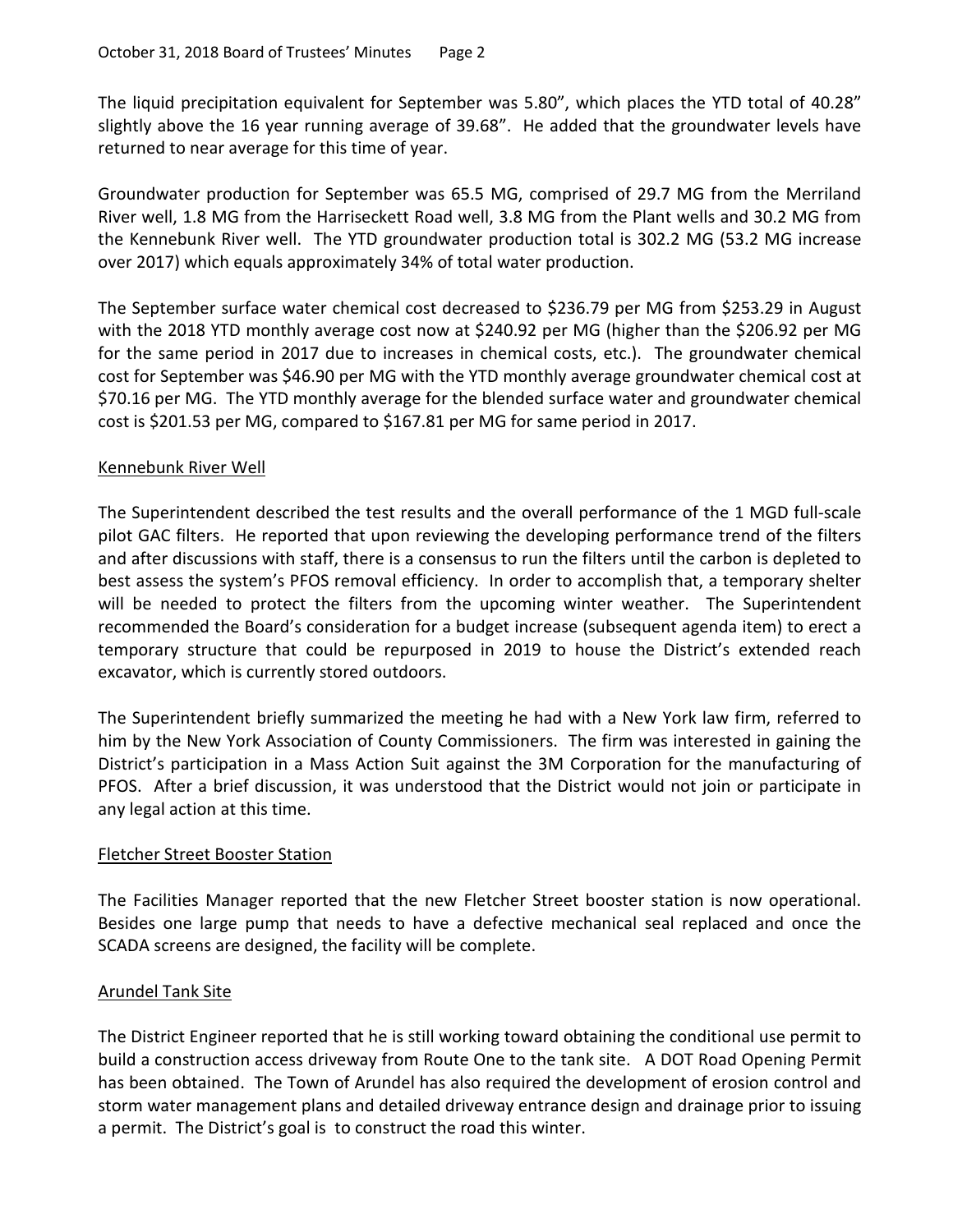The liquid precipitation equivalent for September was 5.80", which places the YTD total of 40.28" slightly above the 16 year running average of 39.68". He added that the groundwater levels have returned to near average for this time of year.

Groundwater production for September was 65.5 MG, comprised of 29.7 MG from the Merriland River well, 1.8 MG from the Harriseckett Road well, 3.8 MG from the Plant wells and 30.2 MG from the Kennebunk River well. The YTD groundwater production total is 302.2 MG (53.2 MG increase over 2017) which equals approximately 34% of total water production.

The September surface water chemical cost decreased to \$236.79 per MG from \$253.29 in August with the 2018 YTD monthly average cost now at \$240.92 per MG (higher than the \$206.92 per MG for the same period in 2017 due to increases in chemical costs, etc.). The groundwater chemical cost for September was \$46.90 per MG with the YTD monthly average groundwater chemical cost at \$70.16 per MG. The YTD monthly average for the blended surface water and groundwater chemical cost is \$201.53 per MG, compared to \$167.81 per MG for same period in 2017.

# Kennebunk River Well

The Superintendent described the test results and the overall performance of the 1 MGD full-scale pilot GAC filters. He reported that upon reviewing the developing performance trend of the filters and after discussions with staff, there is a consensus to run the filters until the carbon is depleted to best assess the system's PFOS removal efficiency. In order to accomplish that, a temporary shelter will be needed to protect the filters from the upcoming winter weather. The Superintendent recommended the Board's consideration for a budget increase (subsequent agenda item) to erect a temporary structure that could be repurposed in 2019 to house the District's extended reach excavator, which is currently stored outdoors.

The Superintendent briefly summarized the meeting he had with a New York law firm, referred to him by the New York Association of County Commissioners. The firm was interested in gaining the District's participation in a Mass Action Suit against the 3M Corporation for the manufacturing of PFOS. After a brief discussion, it was understood that the District would not join or participate in any legal action at this time.

# Fletcher Street Booster Station

The Facilities Manager reported that the new Fletcher Street booster station is now operational. Besides one large pump that needs to have a defective mechanical seal replaced and once the SCADA screens are designed, the facility will be complete.

# Arundel Tank Site

The District Engineer reported that he is still working toward obtaining the conditional use permit to build a construction access driveway from Route One to the tank site. A DOT Road Opening Permit has been obtained. The Town of Arundel has also required the development of erosion control and storm water management plans and detailed driveway entrance design and drainage prior to issuing a permit. The District's goal is to construct the road this winter.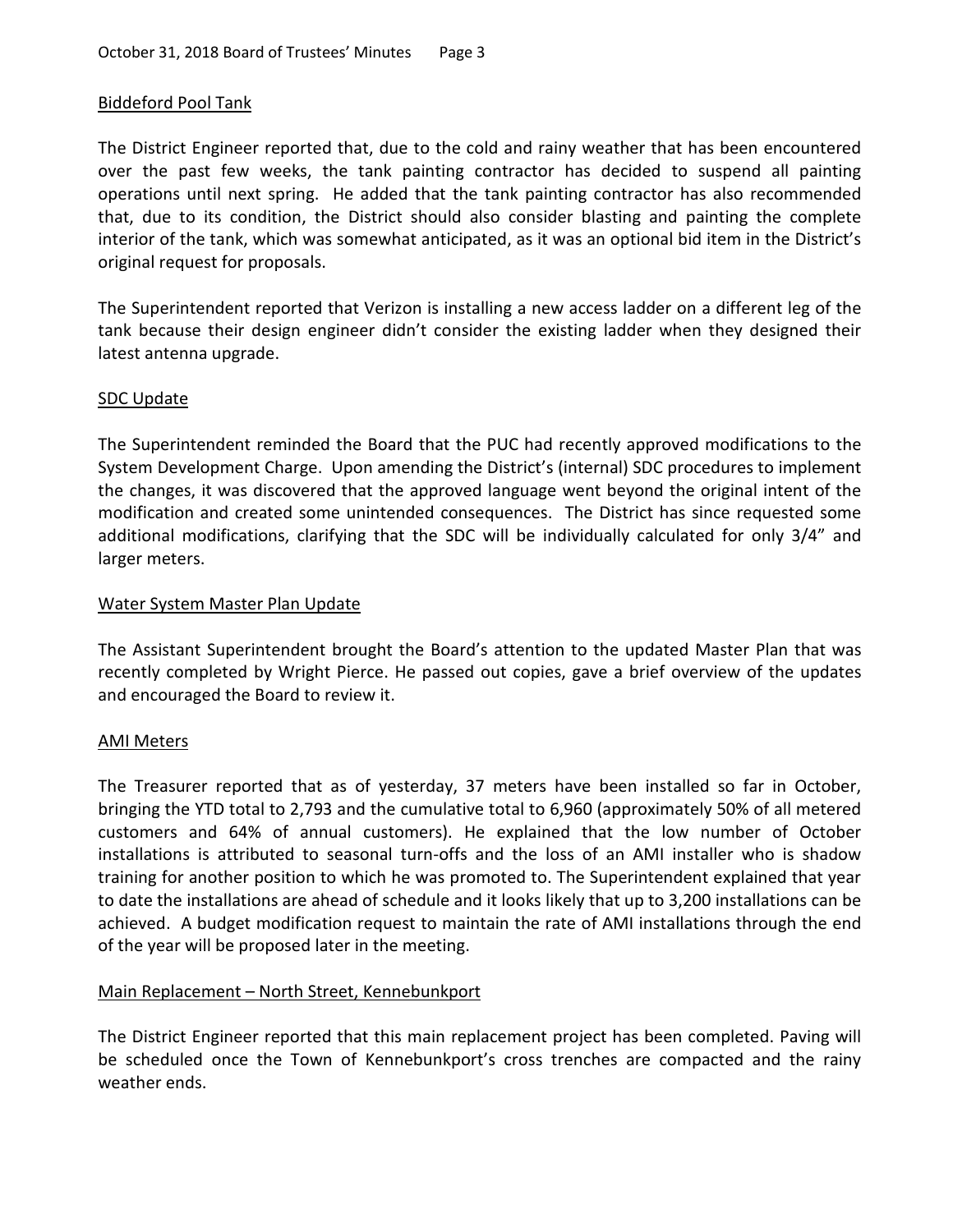#### Biddeford Pool Tank

The District Engineer reported that, due to the cold and rainy weather that has been encountered over the past few weeks, the tank painting contractor has decided to suspend all painting operations until next spring. He added that the tank painting contractor has also recommended that, due to its condition, the District should also consider blasting and painting the complete interior of the tank, which was somewhat anticipated, as it was an optional bid item in the District's original request for proposals.

The Superintendent reported that Verizon is installing a new access ladder on a different leg of the tank because their design engineer didn't consider the existing ladder when they designed their latest antenna upgrade.

#### SDC Update

The Superintendent reminded the Board that the PUC had recently approved modifications to the System Development Charge. Upon amending the District's (internal) SDC procedures to implement the changes, it was discovered that the approved language went beyond the original intent of the modification and created some unintended consequences. The District has since requested some additional modifications, clarifying that the SDC will be individually calculated for only 3/4" and larger meters.

#### Water System Master Plan Update

The Assistant Superintendent brought the Board's attention to the updated Master Plan that was recently completed by Wright Pierce. He passed out copies, gave a brief overview of the updates and encouraged the Board to review it.

#### AMI Meters

The Treasurer reported that as of yesterday, 37 meters have been installed so far in October, bringing the YTD total to 2,793 and the cumulative total to 6,960 (approximately 50% of all metered customers and 64% of annual customers). He explained that the low number of October installations is attributed to seasonal turn-offs and the loss of an AMI installer who is shadow training for another position to which he was promoted to. The Superintendent explained that year to date the installations are ahead of schedule and it looks likely that up to 3,200 installations can be achieved. A budget modification request to maintain the rate of AMI installations through the end of the year will be proposed later in the meeting.

# Main Replacement – North Street, Kennebunkport

The District Engineer reported that this main replacement project has been completed. Paving will be scheduled once the Town of Kennebunkport's cross trenches are compacted and the rainy weather ends.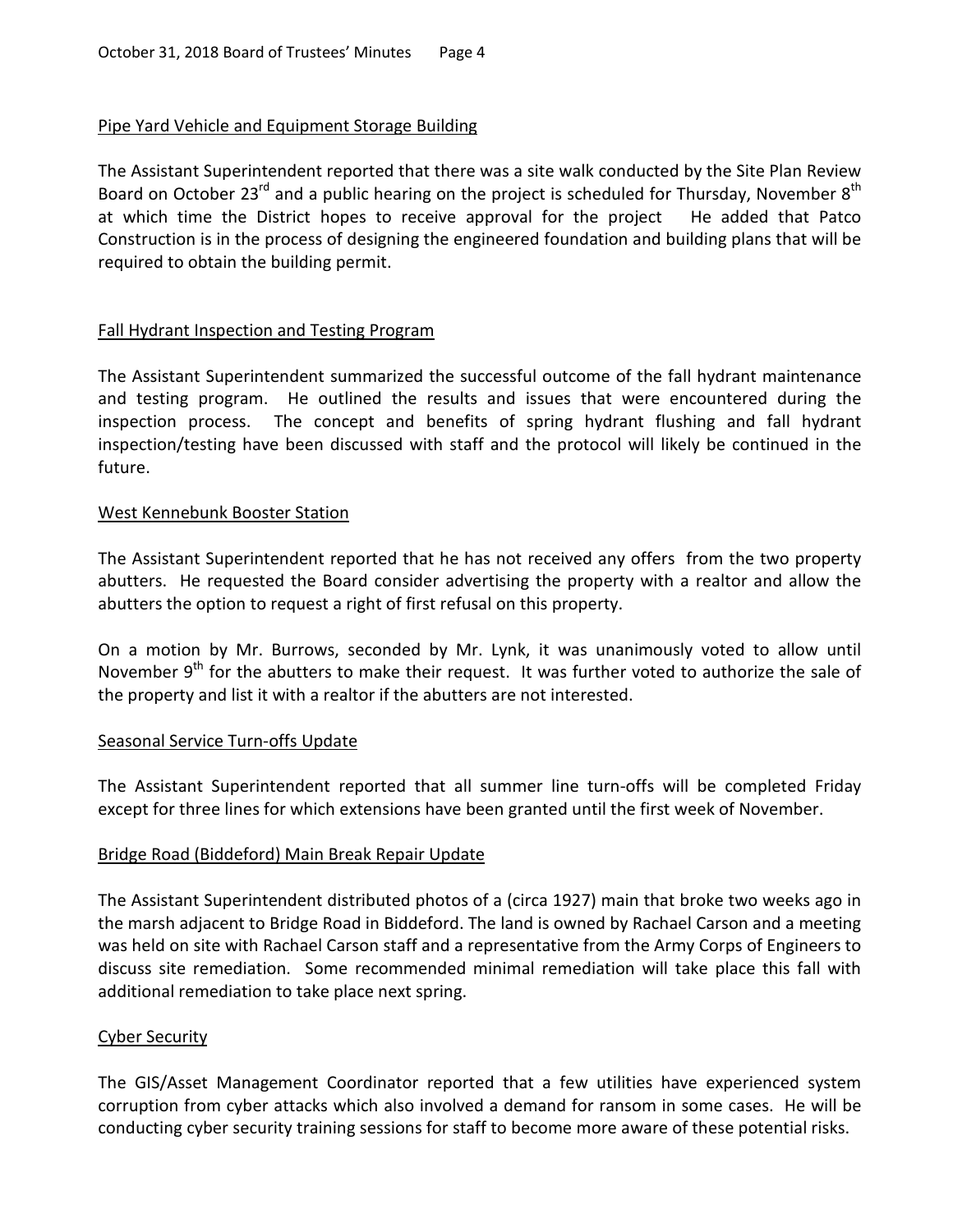# Pipe Yard Vehicle and Equipment Storage Building

The Assistant Superintendent reported that there was a site walk conducted by the Site Plan Review Board on October 23<sup>rd</sup> and a public hearing on the project is scheduled for Thursday, November 8<sup>th</sup> at which time the District hopes to receive approval for the project He added that Patco Construction is in the process of designing the engineered foundation and building plans that will be required to obtain the building permit.

# Fall Hydrant Inspection and Testing Program

The Assistant Superintendent summarized the successful outcome of the fall hydrant maintenance and testing program. He outlined the results and issues that were encountered during the inspection process. The concept and benefits of spring hydrant flushing and fall hydrant inspection/testing have been discussed with staff and the protocol will likely be continued in the future.

# West Kennebunk Booster Station

The Assistant Superintendent reported that he has not received any offers from the two property abutters. He requested the Board consider advertising the property with a realtor and allow the abutters the option to request a right of first refusal on this property.

On a motion by Mr. Burrows, seconded by Mr. Lynk, it was unanimously voted to allow until November 9<sup>th</sup> for the abutters to make their request. It was further voted to authorize the sale of the property and list it with a realtor if the abutters are not interested.

# Seasonal Service Turn-offs Update

The Assistant Superintendent reported that all summer line turn-offs will be completed Friday except for three lines for which extensions have been granted until the first week of November.

# Bridge Road (Biddeford) Main Break Repair Update

The Assistant Superintendent distributed photos of a (circa 1927) main that broke two weeks ago in the marsh adjacent to Bridge Road in Biddeford. The land is owned by Rachael Carson and a meeting was held on site with Rachael Carson staff and a representative from the Army Corps of Engineers to discuss site remediation. Some recommended minimal remediation will take place this fall with additional remediation to take place next spring.

# Cyber Security

The GIS/Asset Management Coordinator reported that a few utilities have experienced system corruption from cyber attacks which also involved a demand for ransom in some cases. He will be conducting cyber security training sessions for staff to become more aware of these potential risks.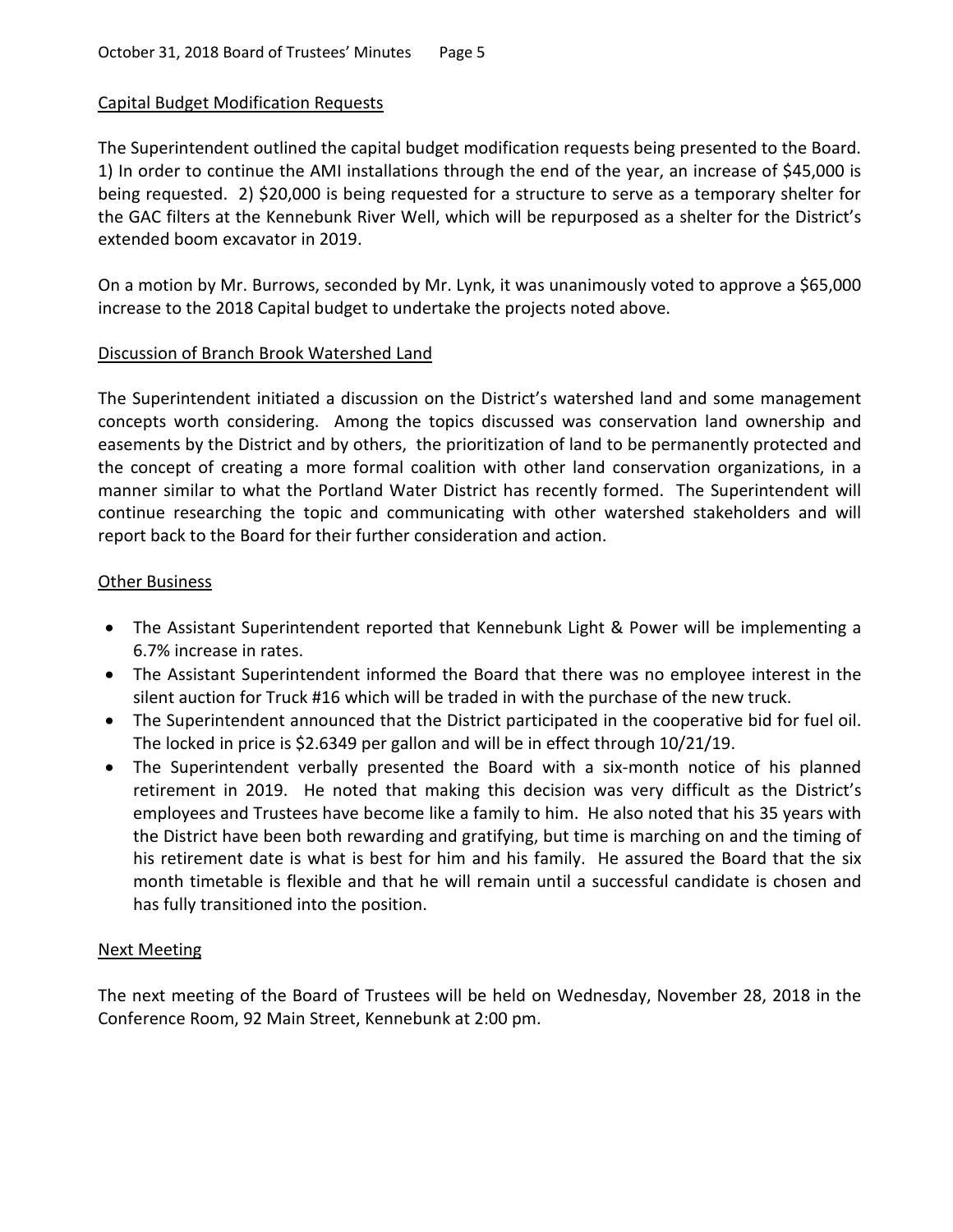# Capital Budget Modification Requests

The Superintendent outlined the capital budget modification requests being presented to the Board. 1) In order to continue the AMI installations through the end of the year, an increase of \$45,000 is being requested. 2) \$20,000 is being requested for a structure to serve as a temporary shelter for the GAC filters at the Kennebunk River Well, which will be repurposed as a shelter for the District's extended boom excavator in 2019.

On a motion by Mr. Burrows, seconded by Mr. Lynk, it was unanimously voted to approve a \$65,000 increase to the 2018 Capital budget to undertake the projects noted above.

# Discussion of Branch Brook Watershed Land

The Superintendent initiated a discussion on the District's watershed land and some management concepts worth considering. Among the topics discussed was conservation land ownership and easements by the District and by others, the prioritization of land to be permanently protected and the concept of creating a more formal coalition with other land conservation organizations, in a manner similar to what the Portland Water District has recently formed. The Superintendent will continue researching the topic and communicating with other watershed stakeholders and will report back to the Board for their further consideration and action.

#### **Other Business**

- The Assistant Superintendent reported that Kennebunk Light & Power will be implementing a 6.7% increase in rates.
- The Assistant Superintendent informed the Board that there was no employee interest in the silent auction for Truck #16 which will be traded in with the purchase of the new truck.
- The Superintendent announced that the District participated in the cooperative bid for fuel oil. The locked in price is \$2.6349 per gallon and will be in effect through 10/21/19.
- The Superintendent verbally presented the Board with a six-month notice of his planned retirement in 2019. He noted that making this decision was very difficult as the District's employees and Trustees have become like a family to him. He also noted that his 35 years with the District have been both rewarding and gratifying, but time is marching on and the timing of his retirement date is what is best for him and his family. He assured the Board that the six month timetable is flexible and that he will remain until a successful candidate is chosen and has fully transitioned into the position.

# Next Meeting

The next meeting of the Board of Trustees will be held on Wednesday, November 28, 2018 in the Conference Room, 92 Main Street, Kennebunk at 2:00 pm.